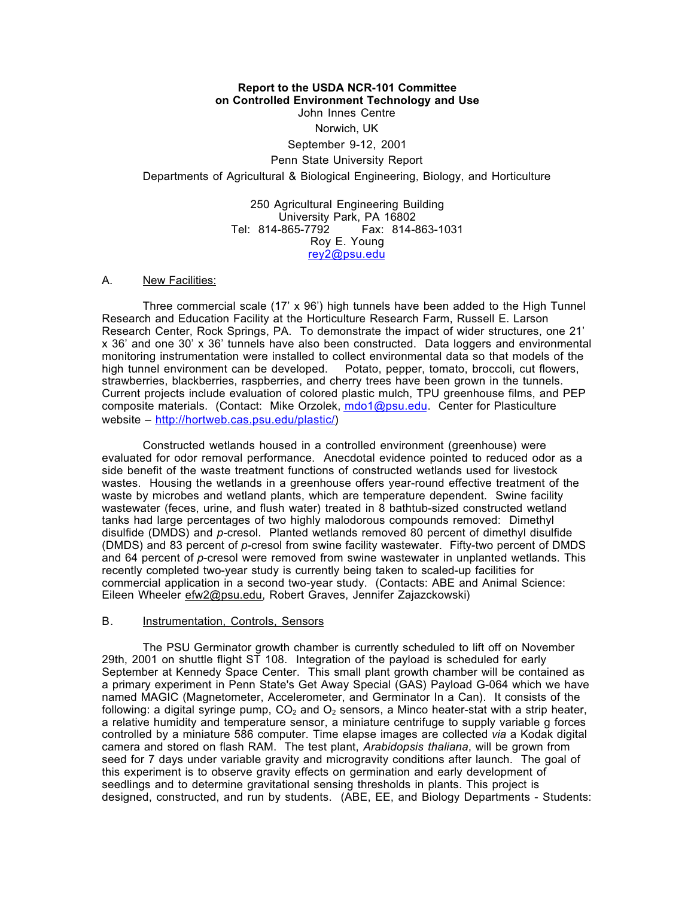# **Report to the USDA NCR-101 Committee on Controlled Environment Technology and Use** John Innes Centre Norwich, UK September 9-12, 2001 Penn State University Report Departments of Agricultural & Biological Engineering, Biology, and Horticulture

250 Agricultural Engineering Building University Park, PA 16802<br>Tel: 814-865-7792 Fax: 814-8 Fax: 814-863-1031 Roy E. Young rey2@psu.edu

#### A. New Facilities:

Three commercial scale (17' x 96') high tunnels have been added to the High Tunnel Research and Education Facility at the Horticulture Research Farm, Russell E. Larson Research Center, Rock Springs, PA. To demonstrate the impact of wider structures, one 21' x 36' and one 30' x 36' tunnels have also been constructed. Data loggers and environmental monitoring instrumentation were installed to collect environmental data so that models of the high tunnel environment can be developed. Potato, pepper, tomato, broccoli, cut flowers, strawberries, blackberries, raspberries, and cherry trees have been grown in the tunnels. Current projects include evaluation of colored plastic mulch, TPU greenhouse films, and PEP composite materials. (Contact: Mike Orzolek, mdo1@psu.edu. Center for Plasticulture website – http://hortweb.cas.psu.edu/plastic/)

Constructed wetlands housed in a controlled environment (greenhouse) were evaluated for odor removal performance. Anecdotal evidence pointed to reduced odor as a side benefit of the waste treatment functions of constructed wetlands used for livestock wastes. Housing the wetlands in a greenhouse offers year-round effective treatment of the waste by microbes and wetland plants, which are temperature dependent. Swine facility wastewater (feces, urine, and flush water) treated in 8 bathtub-sized constructed wetland tanks had large percentages of two highly malodorous compounds removed: Dimethyl disulfide (DMDS) and *p*-cresol. Planted wetlands removed 80 percent of dimethyl disulfide (DMDS) and 83 percent of *p*-cresol from swine facility wastewater. Fifty-two percent of DMDS and 64 percent of *p*-cresol were removed from swine wastewater in unplanted wetlands. This recently completed two-year study is currently being taken to scaled-up facilities for commercial application in a second two-year study. (Contacts: ABE and Animal Science: Eileen Wheeler efw2@psu.edu, Robert Graves, Jennifer Zajazckowski)

#### B. Instrumentation, Controls, Sensors

The PSU Germinator growth chamber is currently scheduled to lift off on November 29th, 2001 on shuttle flight ST 108. Integration of the payload is scheduled for early September at Kennedy Space Center. This small plant growth chamber will be contained as a primary experiment in Penn State's Get Away Special (GAS) Payload G-064 which we have named MAGIC (Magnetometer, Accelerometer, and Germinator In a Can). It consists of the following: a digital syringe pump,  $CO<sub>2</sub>$  and  $O<sub>2</sub>$  sensors, a Minco heater-stat with a strip heater, a relative humidity and temperature sensor, a miniature centrifuge to supply variable g forces controlled by a miniature 586 computer. Time elapse images are collected *via* a Kodak digital camera and stored on flash RAM. The test plant, *Arabidopsis thaliana*, will be grown from seed for 7 days under variable gravity and microgravity conditions after launch. The goal of this experiment is to observe gravity effects on germination and early development of seedlings and to determine gravitational sensing thresholds in plants. This project is designed, constructed, and run by students. (ABE, EE, and Biology Departments - Students: